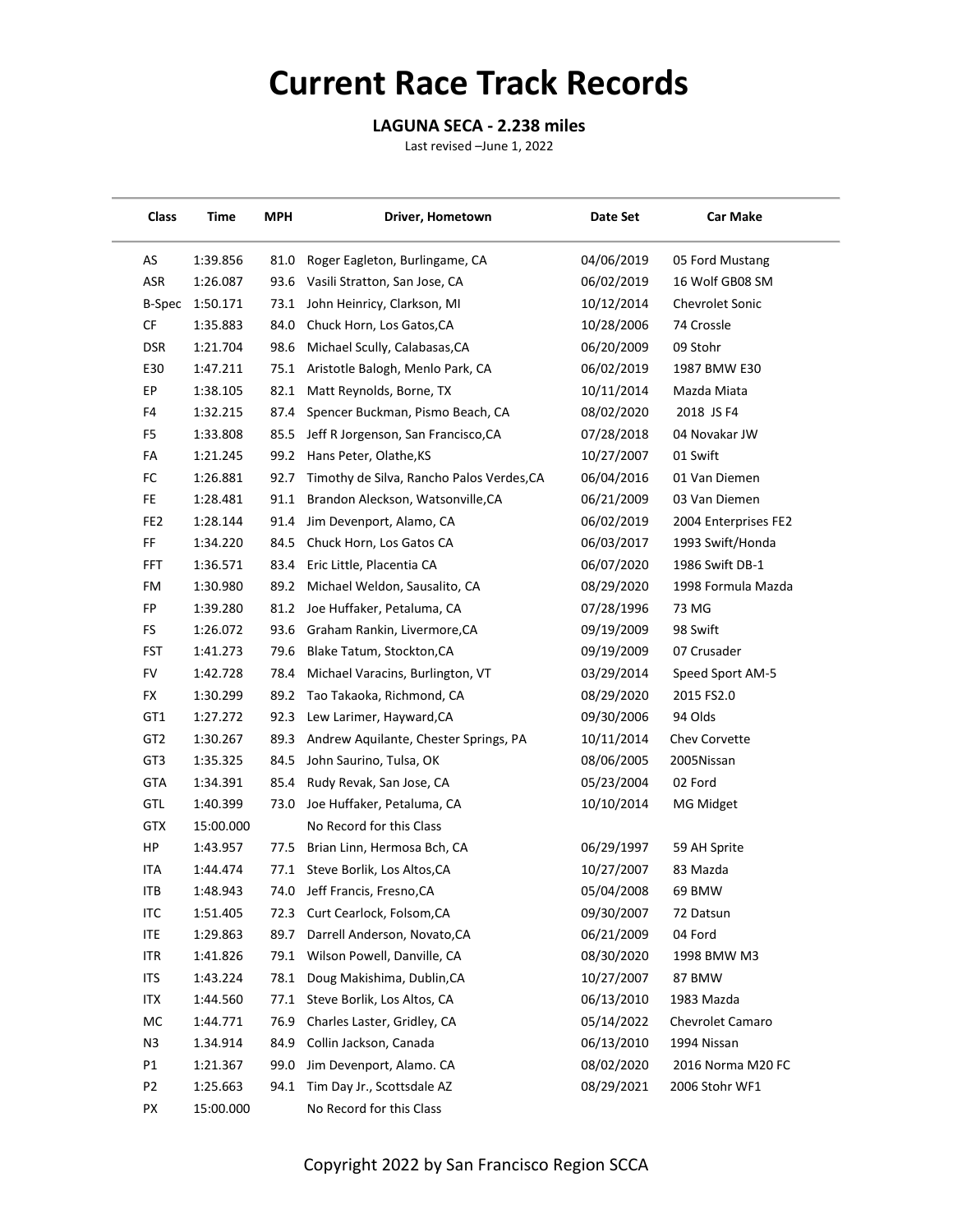## **Current Race Track Records**

## **LAGUNA SECA - 2.238 miles**

Last revised –June 1, 2022

| Class           | Time      | <b>MPH</b> | Driver, Hometown                          | Date Set   | <b>Car Make</b>         |
|-----------------|-----------|------------|-------------------------------------------|------------|-------------------------|
| AS              | 1:39.856  | 81.0       | Roger Eagleton, Burlingame, CA            | 04/06/2019 | 05 Ford Mustang         |
| ASR             | 1:26.087  | 93.6       | Vasili Stratton, San Jose, CA             | 06/02/2019 | 16 Wolf GB08 SM         |
| B-Spec          | 1:50.171  |            | 73.1 John Heinricy, Clarkson, MI          | 10/12/2014 | <b>Chevrolet Sonic</b>  |
| CF              | 1:35.883  | 84.0       | Chuck Horn, Los Gatos, CA                 | 10/28/2006 | 74 Crossle              |
| <b>DSR</b>      | 1:21.704  | 98.6       | Michael Scully, Calabasas, CA             | 06/20/2009 | 09 Stohr                |
| E30             | 1:47.211  |            | 75.1 Aristotle Balogh, Menlo Park, CA     | 06/02/2019 | 1987 BMW E30            |
| EP              | 1:38.105  | 82.1       | Matt Reynolds, Borne, TX                  | 10/11/2014 | Mazda Miata             |
| F4              | 1:32.215  | 87.4       | Spencer Buckman, Pismo Beach, CA          | 08/02/2020 | 2018 JS F4              |
| F5              | 1:33.808  | 85.5       | Jeff R Jorgenson, San Francisco, CA       | 07/28/2018 | 04 Novakar JW           |
| FA              | 1:21.245  | 99.2       | Hans Peter, Olathe, KS                    | 10/27/2007 | 01 Swift                |
| FC              | 1:26.881  | 92.7       | Timothy de Silva, Rancho Palos Verdes, CA | 06/04/2016 | 01 Van Diemen           |
| FE              | 1:28.481  | 91.1       | Brandon Aleckson, Watsonville, CA         | 06/21/2009 | 03 Van Diemen           |
| FE <sub>2</sub> | 1:28.144  | 91.4       | Jim Devenport, Alamo, CA                  | 06/02/2019 | 2004 Enterprises FE2    |
| FF              | 1:34.220  | 84.5       | Chuck Horn, Los Gatos CA                  | 06/03/2017 | 1993 Swift/Honda        |
| FFT             | 1:36.571  | 83.4       | Eric Little, Placentia CA                 | 06/07/2020 | 1986 Swift DB-1         |
| FM              | 1:30.980  | 89.2       | Michael Weldon, Sausalito, CA             | 08/29/2020 | 1998 Formula Mazda      |
| FP              | 1:39.280  |            | 81.2 Joe Huffaker, Petaluma, CA           | 07/28/1996 | 73 MG                   |
| FS              | 1:26.072  | 93.6       | Graham Rankin, Livermore, CA              | 09/19/2009 | 98 Swift                |
| <b>FST</b>      | 1:41.273  | 79.6       | Blake Tatum, Stockton, CA                 | 09/19/2009 | 07 Crusader             |
| FV              | 1:42.728  | 78.4       | Michael Varacins, Burlington, VT          | 03/29/2014 | Speed Sport AM-5        |
| FX              | 1:30.299  | 89.2       | Tao Takaoka, Richmond, CA                 | 08/29/2020 | 2015 FS2.0              |
| GT1             | 1:27.272  | 92.3       | Lew Larimer, Hayward, CA                  | 09/30/2006 | 94 Olds                 |
| GT <sub>2</sub> | 1:30.267  | 89.3       | Andrew Aquilante, Chester Springs, PA     | 10/11/2014 | Chev Corvette           |
| GT <sub>3</sub> | 1:35.325  | 84.5       | John Saurino, Tulsa, OK                   | 08/06/2005 | 2005Nissan              |
| <b>GTA</b>      | 1:34.391  | 85.4       | Rudy Revak, San Jose, CA                  | 05/23/2004 | 02 Ford                 |
| GTL             | 1:40.399  | 73.0       | Joe Huffaker, Petaluma, CA                | 10/10/2014 | MG Midget               |
| <b>GTX</b>      | 15:00.000 |            | No Record for this Class                  |            |                         |
| HP              | 1:43.957  | 77.5       | Brian Linn, Hermosa Bch, CA               | 06/29/1997 | 59 AH Sprite            |
| <b>ITA</b>      | 1:44.474  | 77.1       | Steve Borlik, Los Altos, CA               | 10/27/2007 | 83 Mazda                |
| ITB             | 1:48.943  | 74.0       | Jeff Francis, Fresno, CA                  | 05/04/2008 | 69 BMW                  |
| <b>ITC</b>      | 1:51.405  |            | 72.3 Curt Cearlock, Folsom, CA            | 09/30/2007 | 72 Datsun               |
| <b>ITE</b>      | 1:29.863  | 89.7       | Darrell Anderson, Novato, CA              | 06/21/2009 | 04 Ford                 |
| ITR             | 1:41.826  |            | 79.1 Wilson Powell, Danville, CA          | 08/30/2020 | 1998 BMW M3             |
| <b>ITS</b>      | 1:43.224  | 78.1       | Doug Makishima, Dublin, CA                | 10/27/2007 | 87 BMW                  |
| <b>ITX</b>      | 1:44.560  | 77.1       | Steve Borlik, Los Altos, CA               | 06/13/2010 | 1983 Mazda              |
| MC              | 1:44.771  | 76.9       | Charles Laster, Gridley, CA               | 05/14/2022 | <b>Chevrolet Camaro</b> |
| N <sub>3</sub>  | 1.34.914  | 84.9       | Collin Jackson, Canada                    | 06/13/2010 | 1994 Nissan             |
| P1              | 1:21.367  | 99.0       | Jim Devenport, Alamo. CA                  | 08/02/2020 | 2016 Norma M20 FC       |
| P2              | 1:25.663  |            | 94.1 Tim Day Jr., Scottsdale AZ           | 08/29/2021 | 2006 Stohr WF1          |
| PX              | 15:00.000 |            | No Record for this Class                  |            |                         |